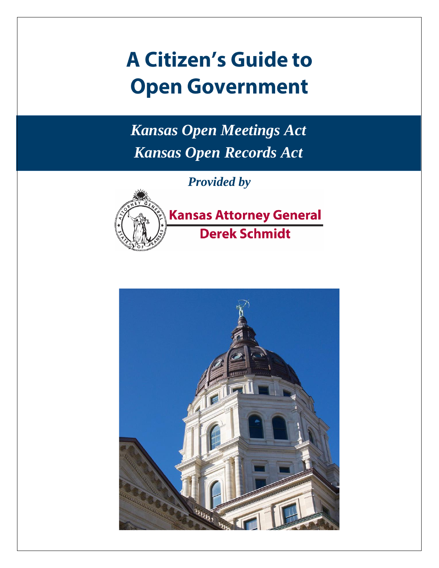# **A Citizen's Guide to Open Government**

*Kansas Open Meetings Act Kansas Open Records Act*

*Provided by*

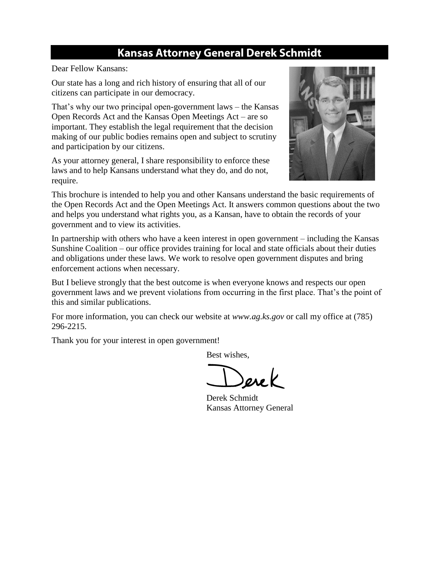# **Kansas Attorney General Derek Schmidt**

Dear Fellow Kansans:

Our state has a long and rich history of ensuring that all of our citizens can participate in our democracy.

That's why our two principal open-government laws – the Kansas Open Records Act and the Kansas Open Meetings Act – are so important. They establish the legal requirement that the decision making of our public bodies remains open and subject to scrutiny and participation by our citizens.

As your attorney general, I share responsibility to enforce these laws and to help Kansans understand what they do, and do not, require.



This brochure is intended to help you and other Kansans understand the basic requirements of the Open Records Act and the Open Meetings Act. It answers common questions about the two and helps you understand what rights you, as a Kansan, have to obtain the records of your government and to view its activities.

In partnership with others who have a keen interest in open government – including the Kansas Sunshine Coalition – our office provides training for local and state officials about their duties and obligations under these laws. We work to resolve open government disputes and bring enforcement actions when necessary.

But I believe strongly that the best outcome is when everyone knows and respects our open government laws and we prevent violations from occurring in the first place. That's the point of this and similar publications.

For more information, you can check our website at *www.ag.ks.gov* or call my office at (785) 296-2215.

Thank you for your interest in open government!

Best wishes,

Derek Schmidt Kansas Attorney General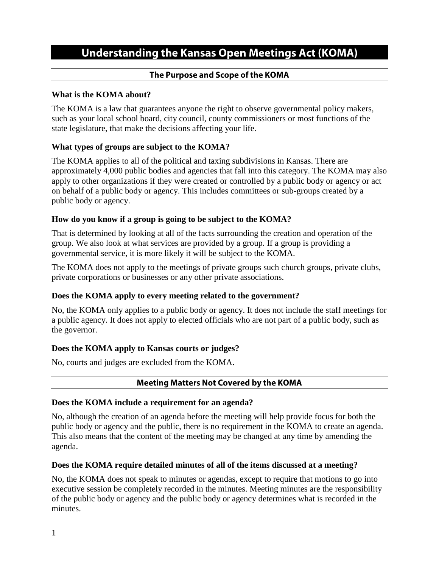# **Understanding the Kansas Open Meetings Act (KOMA)**

# The Purpose and Scope of the KOMA

# **What is the KOMA about?**

The KOMA is a law that guarantees anyone the right to observe governmental policy makers, such as your local school board, city council, county commissioners or most functions of the state legislature, that make the decisions affecting your life.

# **What types of groups are subject to the KOMA?**

The KOMA applies to all of the political and taxing subdivisions in Kansas. There are approximately 4,000 public bodies and agencies that fall into this category. The KOMA may also apply to other organizations if they were created or controlled by a public body or agency or act on behalf of a public body or agency. This includes committees or sub-groups created by a public body or agency.

# **How do you know if a group is going to be subject to the KOMA?**

That is determined by looking at all of the facts surrounding the creation and operation of the group. We also look at what services are provided by a group. If a group is providing a governmental service, it is more likely it will be subject to the KOMA.

The KOMA does not apply to the meetings of private groups such church groups, private clubs, private corporations or businesses or any other private associations.

# **Does the KOMA apply to every meeting related to the government?**

No, the KOMA only applies to a public body or agency. It does not include the staff meetings for a public agency. It does not apply to elected officials who are not part of a public body, such as the governor.

# **Does the KOMA apply to Kansas courts or judges?**

No, courts and judges are excluded from the KOMA.

# **Meeting Matters Not Covered by the KOMA**

# **Does the KOMA include a requirement for an agenda?**

No, although the creation of an agenda before the meeting will help provide focus for both the public body or agency and the public, there is no requirement in the KOMA to create an agenda. This also means that the content of the meeting may be changed at any time by amending the agenda.

# **Does the KOMA require detailed minutes of all of the items discussed at a meeting?**

No, the KOMA does not speak to minutes or agendas, except to require that motions to go into executive session be completely recorded in the minutes. Meeting minutes are the responsibility of the public body or agency and the public body or agency determines what is recorded in the minutes.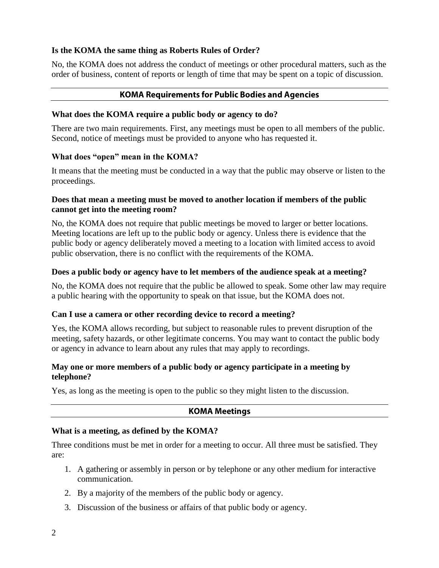#### **Is the KOMA the same thing as Roberts Rules of Order?**

No, the KOMA does not address the conduct of meetings or other procedural matters, such as the order of business, content of reports or length of time that may be spent on a topic of discussion.

#### **KOMA Requirements for Public Bodies and Agencies**

#### **What does the KOMA require a public body or agency to do?**

There are two main requirements. First, any meetings must be open to all members of the public. Second, notice of meetings must be provided to anyone who has requested it.

#### **What does "open" mean in the KOMA?**

It means that the meeting must be conducted in a way that the public may observe or listen to the proceedings.

# **Does that mean a meeting must be moved to another location if members of the public cannot get into the meeting room?**

No, the KOMA does not require that public meetings be moved to larger or better locations. Meeting locations are left up to the public body or agency. Unless there is evidence that the public body or agency deliberately moved a meeting to a location with limited access to avoid public observation, there is no conflict with the requirements of the KOMA.

#### **Does a public body or agency have to let members of the audience speak at a meeting?**

No, the KOMA does not require that the public be allowed to speak. Some other law may require a public hearing with the opportunity to speak on that issue, but the KOMA does not.

# **Can I use a camera or other recording device to record a meeting?**

Yes, the KOMA allows recording, but subject to reasonable rules to prevent disruption of the meeting, safety hazards, or other legitimate concerns. You may want to contact the public body or agency in advance to learn about any rules that may apply to recordings.

#### **May one or more members of a public body or agency participate in a meeting by telephone?**

Yes, as long as the meeting is open to the public so they might listen to the discussion.

# **KOMA Meetings**

#### **What is a meeting, as defined by the KOMA?**

Three conditions must be met in order for a meeting to occur. All three must be satisfied. They are:

- 1. A gathering or assembly in person or by telephone or any other medium for interactive communication.
- 2. By a majority of the members of the public body or agency.
- 3. Discussion of the business or affairs of that public body or agency.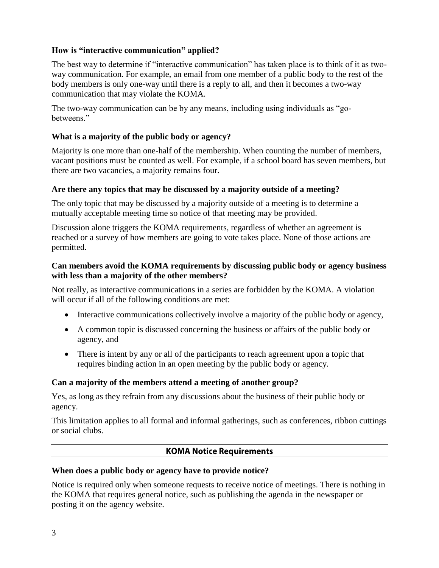# **How is "interactive communication" applied?**

The best way to determine if "interactive communication" has taken place is to think of it as twoway communication. For example, an email from one member of a public body to the rest of the body members is only one-way until there is a reply to all, and then it becomes a two-way communication that may violate the KOMA.

The two-way communication can be by any means, including using individuals as "gobetweens."

#### **What is a majority of the public body or agency?**

Majority is one more than one-half of the membership. When counting the number of members, vacant positions must be counted as well. For example, if a school board has seven members, but there are two vacancies, a majority remains four.

#### **Are there any topics that may be discussed by a majority outside of a meeting?**

The only topic that may be discussed by a majority outside of a meeting is to determine a mutually acceptable meeting time so notice of that meeting may be provided.

Discussion alone triggers the KOMA requirements, regardless of whether an agreement is reached or a survey of how members are going to vote takes place. None of those actions are permitted.

# **Can members avoid the KOMA requirements by discussing public body or agency business with less than a majority of the other members?**

Not really, as interactive communications in a series are forbidden by the KOMA. A violation will occur if all of the following conditions are met:

- Interactive communications collectively involve a majority of the public body or agency,
- A common topic is discussed concerning the business or affairs of the public body or agency, and
- There is intent by any or all of the participants to reach agreement upon a topic that requires binding action in an open meeting by the public body or agency.

#### **Can a majority of the members attend a meeting of another group?**

Yes, as long as they refrain from any discussions about the business of their public body or agency.

This limitation applies to all formal and informal gatherings, such as conferences, ribbon cuttings or social clubs.

#### **KOMA Notice Requirements**

#### **When does a public body or agency have to provide notice?**

Notice is required only when someone requests to receive notice of meetings. There is nothing in the KOMA that requires general notice, such as publishing the agenda in the newspaper or posting it on the agency website.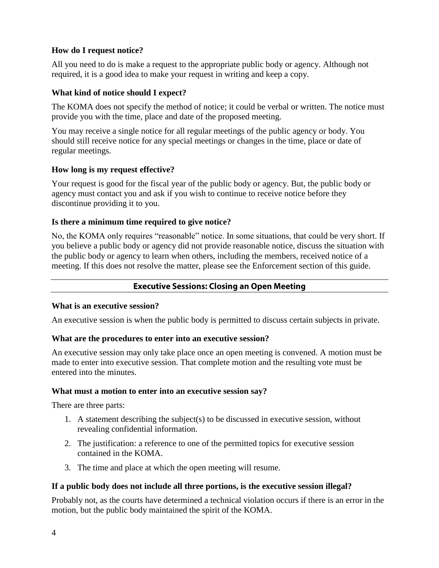# **How do I request notice?**

All you need to do is make a request to the appropriate public body or agency. Although not required, it is a good idea to make your request in writing and keep a copy.

# **What kind of notice should I expect?**

The KOMA does not specify the method of notice; it could be verbal or written. The notice must provide you with the time, place and date of the proposed meeting.

You may receive a single notice for all regular meetings of the public agency or body. You should still receive notice for any special meetings or changes in the time, place or date of regular meetings.

# **How long is my request effective?**

Your request is good for the fiscal year of the public body or agency. But, the public body or agency must contact you and ask if you wish to continue to receive notice before they discontinue providing it to you.

# **Is there a minimum time required to give notice?**

No, the KOMA only requires "reasonable" notice. In some situations, that could be very short. If you believe a public body or agency did not provide reasonable notice, discuss the situation with the public body or agency to learn when others, including the members, received notice of a meeting. If this does not resolve the matter, please see the Enforcement section of this guide.

# **Executive Sessions: Closing an Open Meeting**

# **What is an executive session?**

An executive session is when the public body is permitted to discuss certain subjects in private.

# **What are the procedures to enter into an executive session?**

An executive session may only take place once an open meeting is convened. A motion must be made to enter into executive session. That complete motion and the resulting vote must be entered into the minutes.

# **What must a motion to enter into an executive session say?**

There are three parts:

- 1. A statement describing the subject(s) to be discussed in executive session, without revealing confidential information.
- 2. The justification: a reference to one of the permitted topics for executive session contained in the KOMA.
- 3. The time and place at which the open meeting will resume.

# **If a public body does not include all three portions, is the executive session illegal?**

Probably not, as the courts have determined a technical violation occurs if there is an error in the motion, but the public body maintained the spirit of the KOMA.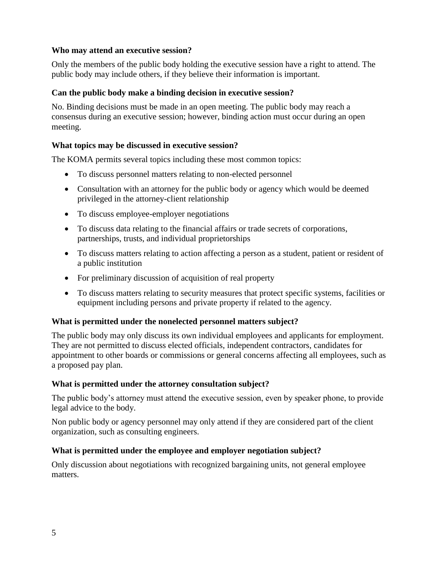# **Who may attend an executive session?**

Only the members of the public body holding the executive session have a right to attend. The public body may include others, if they believe their information is important.

# **Can the public body make a binding decision in executive session?**

No. Binding decisions must be made in an open meeting. The public body may reach a consensus during an executive session; however, binding action must occur during an open meeting.

#### **What topics may be discussed in executive session?**

The KOMA permits several topics including these most common topics:

- To discuss personnel matters relating to non-elected personnel
- Consultation with an attorney for the public body or agency which would be deemed privileged in the attorney-client relationship
- To discuss employee-employer negotiations
- To discuss data relating to the financial affairs or trade secrets of corporations, partnerships, trusts, and individual proprietorships
- To discuss matters relating to action affecting a person as a student, patient or resident of a public institution
- For preliminary discussion of acquisition of real property
- To discuss matters relating to security measures that protect specific systems, facilities or equipment including persons and private property if related to the agency.

#### **What is permitted under the nonelected personnel matters subject?**

The public body may only discuss its own individual employees and applicants for employment. They are not permitted to discuss elected officials, independent contractors, candidates for appointment to other boards or commissions or general concerns affecting all employees, such as a proposed pay plan.

#### **What is permitted under the attorney consultation subject?**

The public body's attorney must attend the executive session, even by speaker phone, to provide legal advice to the body.

Non public body or agency personnel may only attend if they are considered part of the client organization, such as consulting engineers.

#### **What is permitted under the employee and employer negotiation subject?**

Only discussion about negotiations with recognized bargaining units, not general employee matters.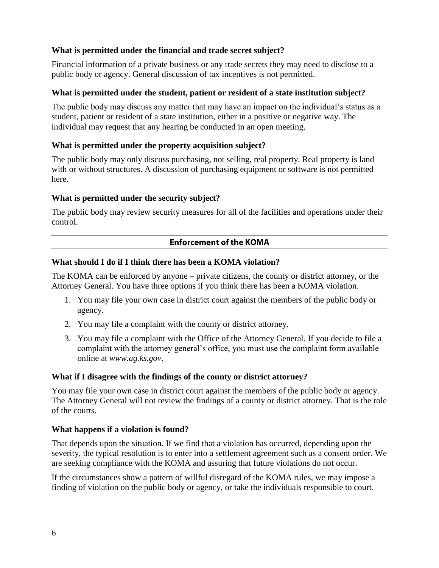# **What is permitted under the financial and trade secret subject?**

Financial information of a private business or any trade secrets they may need to disclose to a public body or agency. General discussion of tax incentives is not permitted.

#### **What is permitted under the student, patient or resident of a state institution subject?**

The public body may discuss any matter that may have an impact on the individual's status as a student, patient or resident of a state institution, either in a positive or negative way. The individual may request that any hearing be conducted in an open meeting.

#### **What is permitted under the property acquisition subject?**

The public body may only discuss purchasing, not selling, real property. Real property is land with or without structures. A discussion of purchasing equipment or software is not permitted here.

#### **What is permitted under the security subject?**

The public body may review security measures for all of the facilities and operations under their control.

# **Enforcement of the KOMA**

# **What should I do if I think there has been a KOMA violation?**

The KOMA can be enforced by anyone – private citizens, the county or district attorney, or the Attorney General. You have three options if you think there has been a KOMA violation.

- 1. You may file your own case in district court against the members of the public body or agency.
- 2. You may file a complaint with the county or district attorney.
- 3. You may file a complaint with the Office of the Attorney General. If you decide to file a complaint with the attorney general's office, you must use the complaint form available online at *www.ag.ks.gov*.

#### **What if I disagree with the findings of the county or district attorney?**

You may file your own case in district court against the members of the public body or agency. The Attorney General will not review the findings of a county or district attorney. That is the role of the courts.

#### **What happens if a violation is found?**

That depends upon the situation. If we find that a violation has occurred, depending upon the severity, the typical resolution is to enter into a settlement agreement such as a consent order. We are seeking compliance with the KOMA and assuring that future violations do not occur.

If the circumstances show a pattern of willful disregard of the KOMA rules, we may impose a finding of violation on the public body or agency, or take the individuals responsible to court.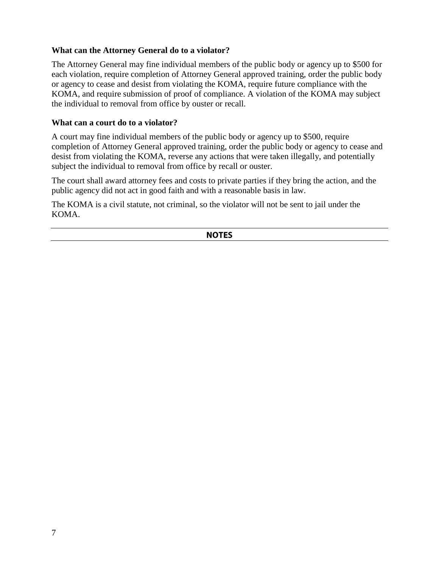# **What can the Attorney General do to a violator?**

The Attorney General may fine individual members of the public body or agency up to \$500 for each violation, require completion of Attorney General approved training, order the public body or agency to cease and desist from violating the KOMA, require future compliance with the KOMA, and require submission of proof of compliance. A violation of the KOMA may subject the individual to removal from office by ouster or recall.

#### **What can a court do to a violator?**

A court may fine individual members of the public body or agency up to \$500, require completion of Attorney General approved training, order the public body or agency to cease and desist from violating the KOMA, reverse any actions that were taken illegally, and potentially subject the individual to removal from office by recall or ouster.

The court shall award attorney fees and costs to private parties if they bring the action, and the public agency did not act in good faith and with a reasonable basis in law.

The KOMA is a civil statute, not criminal, so the violator will not be sent to jail under the KOMA.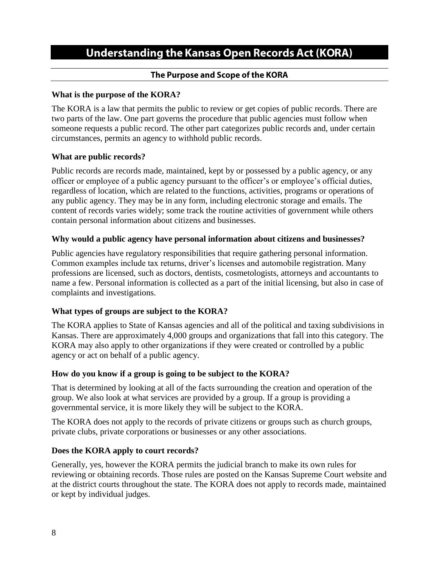# **Understanding the Kansas Open Records Act (KORA)**

# The Purpose and Scope of the KORA

# **What is the purpose of the KORA?**

The KORA is a law that permits the public to review or get copies of public records. There are two parts of the law. One part governs the procedure that public agencies must follow when someone requests a public record. The other part categorizes public records and, under certain circumstances, permits an agency to withhold public records.

#### **What are public records?**

Public records are records made, maintained, kept by or possessed by a public agency, or any officer or employee of a public agency pursuant to the officer's or employee's official duties, regardless of location, which are related to the functions, activities, programs or operations of any public agency. They may be in any form, including electronic storage and emails. The content of records varies widely; some track the routine activities of government while others contain personal information about citizens and businesses.

#### **Why would a public agency have personal information about citizens and businesses?**

Public agencies have regulatory responsibilities that require gathering personal information. Common examples include tax returns, driver's licenses and automobile registration. Many professions are licensed, such as doctors, dentists, cosmetologists, attorneys and accountants to name a few. Personal information is collected as a part of the initial licensing, but also in case of complaints and investigations.

# **What types of groups are subject to the KORA?**

The KORA applies to State of Kansas agencies and all of the political and taxing subdivisions in Kansas. There are approximately 4,000 groups and organizations that fall into this category. The KORA may also apply to other organizations if they were created or controlled by a public agency or act on behalf of a public agency.

# **How do you know if a group is going to be subject to the KORA?**

That is determined by looking at all of the facts surrounding the creation and operation of the group. We also look at what services are provided by a group. If a group is providing a governmental service, it is more likely they will be subject to the KORA.

The KORA does not apply to the records of private citizens or groups such as church groups, private clubs, private corporations or businesses or any other associations.

# **Does the KORA apply to court records?**

Generally, yes, however the KORA permits the judicial branch to make its own rules for reviewing or obtaining records. Those rules are posted on the Kansas Supreme Court website and at the district courts throughout the state. The KORA does not apply to records made, maintained or kept by individual judges.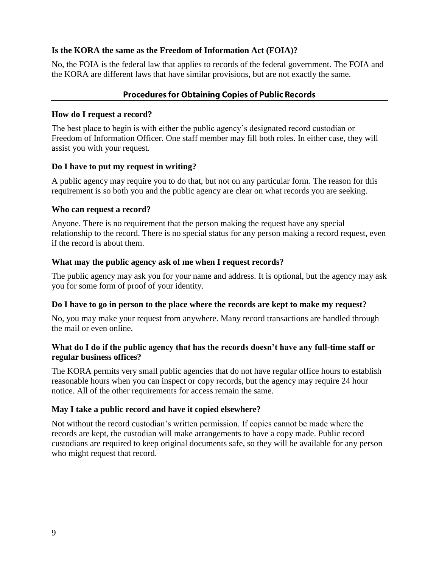#### **Is the KORA the same as the Freedom of Information Act (FOIA)?**

No, the FOIA is the federal law that applies to records of the federal government. The FOIA and the KORA are different laws that have similar provisions, but are not exactly the same.

# **Procedures for Obtaining Copies of Public Records**

#### **How do I request a record?**

The best place to begin is with either the public agency's designated record custodian or Freedom of Information Officer. One staff member may fill both roles. In either case, they will assist you with your request.

#### **Do I have to put my request in writing?**

A public agency may require you to do that, but not on any particular form. The reason for this requirement is so both you and the public agency are clear on what records you are seeking.

#### **Who can request a record?**

Anyone. There is no requirement that the person making the request have any special relationship to the record. There is no special status for any person making a record request, even if the record is about them.

#### **What may the public agency ask of me when I request records?**

The public agency may ask you for your name and address. It is optional, but the agency may ask you for some form of proof of your identity.

#### **Do I have to go in person to the place where the records are kept to make my request?**

No, you may make your request from anywhere. Many record transactions are handled through the mail or even online.

#### **What do I do if the public agency that has the records doesn't have any full-time staff or regular business offices?**

The KORA permits very small public agencies that do not have regular office hours to establish reasonable hours when you can inspect or copy records, but the agency may require 24 hour notice. All of the other requirements for access remain the same.

# **May I take a public record and have it copied elsewhere?**

Not without the record custodian's written permission. If copies cannot be made where the records are kept, the custodian will make arrangements to have a copy made. Public record custodians are required to keep original documents safe, so they will be available for any person who might request that record.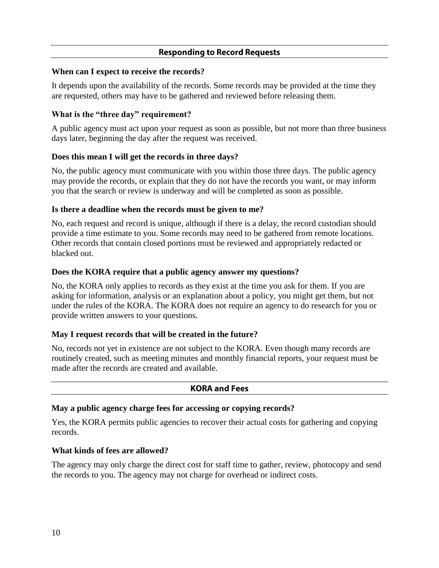# **Responding to Record Requests**

#### **When can I expect to receive the records?**

It depends upon the availability of the records. Some records may be provided at the time they are requested, others may have to be gathered and reviewed before releasing them.

# **What is the "three day" requirement?**

A public agency must act upon your request as soon as possible, but not more than three business days later, beginning the day after the request was received.

# **Does this mean I will get the records in three days?**

No, the public agency must communicate with you within those three days. The public agency may provide the records, or explain that they do not have the records you want, or may inform you that the search or review is underway and will be completed as soon as possible.

# **Is there a deadline when the records must be given to me?**

No, each request and record is unique, although if there is a delay, the record custodian should provide a time estimate to you. Some records may need to be gathered from remote locations. Other records that contain closed portions must be reviewed and appropriately redacted or blacked out.

# **Does the KORA require that a public agency answer my questions?**

No, the KORA only applies to records as they exist at the time you ask for them. If you are asking for information, analysis or an explanation about a policy, you might get them, but not under the rules of the KORA. The KORA does not require an agency to do research for you or provide written answers to your questions.

# **May I request records that will be created in the future?**

No, records not yet in existence are not subject to the KORA. Even though many records are routinely created, such as meeting minutes and monthly financial reports, your request must be made after the records are created and available.

# **KORA and Fees**

# **May a public agency charge fees for accessing or copying records?**

Yes, the KORA permits public agencies to recover their actual costs for gathering and copying records.

# **What kinds of fees are allowed?**

The agency may only charge the direct cost for staff time to gather, review, photocopy and send the records to you. The agency may not charge for overhead or indirect costs.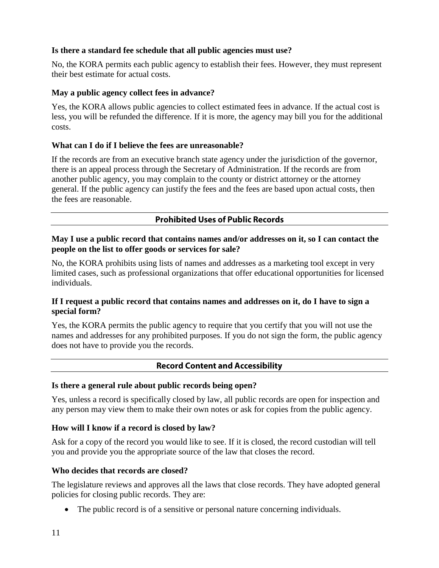# **Is there a standard fee schedule that all public agencies must use?**

No, the KORA permits each public agency to establish their fees. However, they must represent their best estimate for actual costs.

#### **May a public agency collect fees in advance?**

Yes, the KORA allows public agencies to collect estimated fees in advance. If the actual cost is less, you will be refunded the difference. If it is more, the agency may bill you for the additional costs.

#### **What can I do if I believe the fees are unreasonable?**

If the records are from an executive branch state agency under the jurisdiction of the governor, there is an appeal process through the Secretary of Administration. If the records are from another public agency, you may complain to the county or district attorney or the attorney general. If the public agency can justify the fees and the fees are based upon actual costs, then the fees are reasonable.

# **Prohibited Uses of Public Records**

**May I use a public record that contains names and/or addresses on it, so I can contact the people on the list to offer goods or services for sale?**

No, the KORA prohibits using lists of names and addresses as a marketing tool except in very limited cases, such as professional organizations that offer educational opportunities for licensed individuals.

#### **If I request a public record that contains names and addresses on it, do I have to sign a special form?**

Yes, the KORA permits the public agency to require that you certify that you will not use the names and addresses for any prohibited purposes. If you do not sign the form, the public agency does not have to provide you the records.

# **Record Content and Accessibility**

#### **Is there a general rule about public records being open?**

Yes, unless a record is specifically closed by law, all public records are open for inspection and any person may view them to make their own notes or ask for copies from the public agency.

#### **How will I know if a record is closed by law?**

Ask for a copy of the record you would like to see. If it is closed, the record custodian will tell you and provide you the appropriate source of the law that closes the record.

#### **Who decides that records are closed?**

The legislature reviews and approves all the laws that close records. They have adopted general policies for closing public records. They are:

The public record is of a sensitive or personal nature concerning individuals.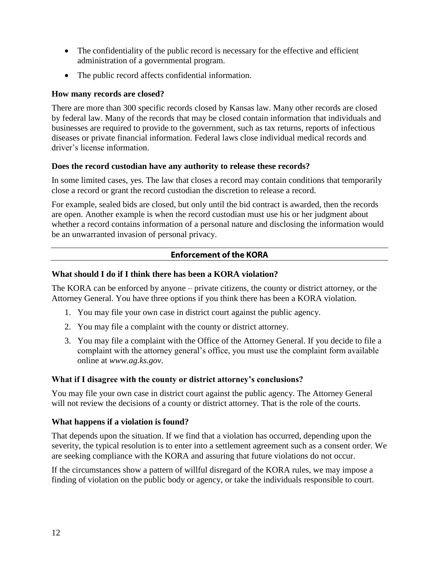- The confidentiality of the public record is necessary for the effective and efficient administration of a governmental program.
- The public record affects confidential information.

# **How many records are closed?**

There are more than 300 specific records closed by Kansas law. Many other records are closed by federal law. Many of the records that may be closed contain information that individuals and businesses are required to provide to the government, such as tax returns, reports of infectious diseases or private financial information. Federal laws close individual medical records and driver's license information.

# **Does the record custodian have any authority to release these records?**

In some limited cases, yes. The law that closes a record may contain conditions that temporarily close a record or grant the record custodian the discretion to release a record.

For example, sealed bids are closed, but only until the bid contract is awarded, then the records are open. Another example is when the record custodian must use his or her judgment about whether a record contains information of a personal nature and disclosing the information would be an unwarranted invasion of personal privacy.

# **Enforcement of the KORA**

# **What should I do if I think there has been a KORA violation?**

The KORA can be enforced by anyone – private citizens, the county or district attorney, or the Attorney General. You have three options if you think there has been a KORA violation.

- 1. You may file your own case in district court against the public agency.
- 2. You may file a complaint with the county or district attorney.
- 3. You may file a complaint with the Office of the Attorney General. If you decide to file a complaint with the attorney general's office, you must use the complaint form available online at *www.ag.ks.gov*.

# **What if I disagree with the county or district attorney's conclusions?**

You may file your own case in district court against the public agency. The Attorney General will not review the decisions of a county or district attorney. That is the role of the courts.

# **What happens if a violation is found?**

That depends upon the situation. If we find that a violation has occurred, depending upon the severity, the typical resolution is to enter into a settlement agreement such as a consent order. We are seeking compliance with the KORA and assuring that future violations do not occur.

If the circumstances show a pattern of willful disregard of the KORA rules, we may impose a finding of violation on the public body or agency, or take the individuals responsible to court.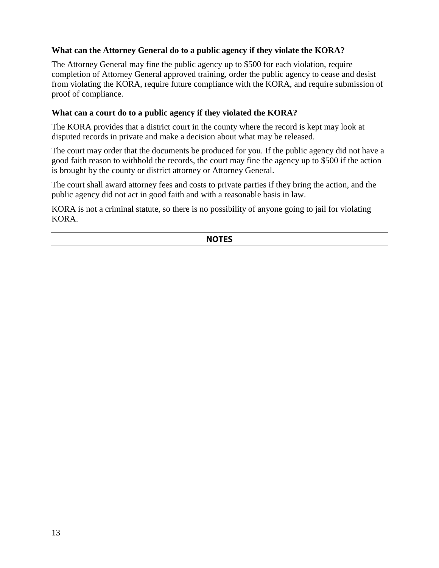# **What can the Attorney General do to a public agency if they violate the KORA?**

The Attorney General may fine the public agency up to \$500 for each violation, require completion of Attorney General approved training, order the public agency to cease and desist from violating the KORA, require future compliance with the KORA, and require submission of proof of compliance.

#### **What can a court do to a public agency if they violated the KORA?**

The KORA provides that a district court in the county where the record is kept may look at disputed records in private and make a decision about what may be released.

The court may order that the documents be produced for you. If the public agency did not have a good faith reason to withhold the records, the court may fine the agency up to \$500 if the action is brought by the county or district attorney or Attorney General.

The court shall award attorney fees and costs to private parties if they bring the action, and the public agency did not act in good faith and with a reasonable basis in law.

KORA is not a criminal statute, so there is no possibility of anyone going to jail for violating KORA.

|--|